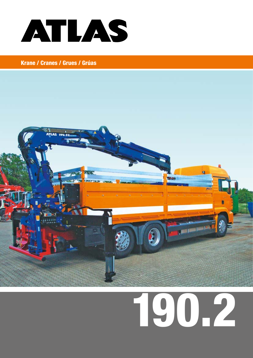



# 190.2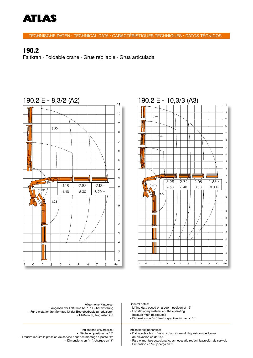

TECHNISCHE DATEN · TECHNICAL DATA · CARACTÉRISTIQUES TECHNIQUES · DATOS TÉCNICOS

#### 190.2

Faltkran · Foldable crane · Grue repliable · Grua articulada



#### 190.2 E - 10,3/3 (A3)



Indications universelles: - Flèche en position de 15° - Il faudra réduire la pression de service pour des montage à poste fixe - Dimensions en "m", charges en "t" Indicaciones generales: - Datos sobre las grúas articulados cuando la posición del brazo de elevación es de 15° - Para el montaje estacionario, es necesario reducir la presión de servicio Allgemeine Hinweise: - Angaben der Faltkrane bei 15° Hubarmstellung - Für die stationäre Montage ist der Betriebsdruck zu reduzieren - Maße in m, Traglasten in t General notes: - Lifting data based on a boom position of 15° - For stationary installation, the operating pressure must be reduced - Dimensions in "m", load capacities in metric "t"

- Dimensión en 'm' y carga en 't'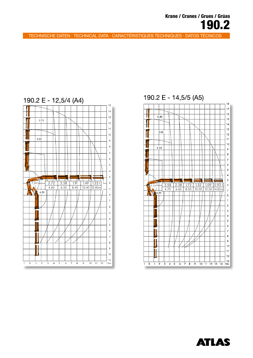TECHNISCHE DATEN · TECHNICAL DATA · CARACTÉRISTIQUES TECHNIQUES · DATOS TÉCNICOS



## 190.2 E - 14,5/5 (A5)



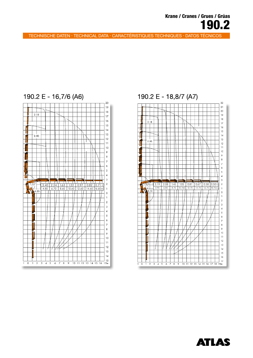TECHNISCHE DATEN · TECHNICAL DATA · CARACTÉRISTIQUES TECHNIQUES · DATOS TÉCNICOS



## 190.2 E - 16,7/6 (A6)

## 190.2 E - 18,8/7 (A7)



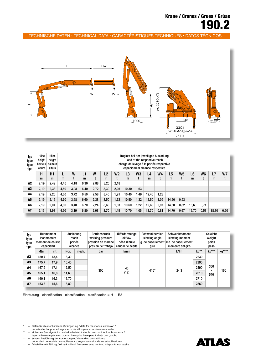TECHNISCHE DATEN · TECHNICAL DATA · CARACTÉRISTIQUES TECHNIQUES · DATOS TÉCNICOS



| Typ<br>type<br>type<br>tipo | Höhe<br>height<br>hauteur<br>altura | Höhe<br>height<br>hauteur<br>altura |      | Traglast bei der jeweiligen Ausladung<br>load at the respective reach<br>charge de levage à la portée respective<br>capacidad al alcance respectivo |      |                |                |      |       |                |       |                |       |                |       |      |       |      |
|-----------------------------|-------------------------------------|-------------------------------------|------|-----------------------------------------------------------------------------------------------------------------------------------------------------|------|----------------|----------------|------|-------|----------------|-------|----------------|-------|----------------|-------|------|-------|------|
|                             | Н                                   | H1                                  |      | W                                                                                                                                                   | L1   | W <sub>1</sub> | L <sub>2</sub> | W2   | L3    | W <sub>3</sub> | L4    | W <sub>4</sub> | L5    | W <sub>5</sub> | L6    | W6   | L7    | W7   |
|                             | m                                   | m                                   | m    |                                                                                                                                                     | m    |                | m              |      | m     |                | m     |                | m     |                | m     | t    | m     |      |
| A <sub>2</sub>              | 2,19                                | 2,49                                | 4,40 | 4,18                                                                                                                                                | 6,30 | 2,88           | 8,20           | 2,18 |       |                |       |                |       |                |       |      |       |      |
| A <sub>3</sub>              | 2,19                                | 2,38                                | 4,50 | 3,98                                                                                                                                                | 6,40 | 2,72           | 8,30           | 2,05 | 10.30 | 1,63           |       |                |       |                |       |      |       |      |
| A4                          | 2,19                                | 2,26                                | 4,60 | 3,72                                                                                                                                                | 6,50 | 2,58           | 8,40           | 1,91 | 10,40 | 49. ا          | 12,40 | 1,23           |       |                |       |      |       |      |
| A <sub>5</sub>              | 2,19                                | 2,15                                | 4,70 | 3,58                                                                                                                                                | 6,60 | 2,38           | 8,50           | 1,72 | 10.50 | 1,32           | 12,50 | 1.09           | 14,50 | 0,93           |       |      |       |      |
| A <sub>6</sub>              | 2,19                                | 2,04                                | 4,80 | 3,40                                                                                                                                                | 6,70 | 2,24           | 8,60           | 1,63 | 10,60 | .22            | 12,60 | 0,97           | 14,60 | 0,82           | 16,60 | 0,71 |       |      |
| <b>A7</b>                   | 2,19                                | 1,93                                | 4,90 | 3,19                                                                                                                                                | 6,80 | 2,08           | 8,70           | 1,45 | 10,70 | .05            | 12,70 | 0,81           | 14,70 | 0,67           | 16,70 | 0,58 | 18,70 | 0,50 |

| Typ<br>type<br>type<br>tipo | <b>Hubmoment</b><br>loadmoment<br>moment de course<br>capacidad |      | Ausladung<br>reach<br>portée<br>alcance |       | <b>Betriebsdruck</b><br>working pressure<br>pression de marche<br>presion de trabajo | Ölfördermenge<br>oilfiow<br>débit d'huile<br>caudal de aceite | Schwenkbereich<br>slewing angle<br>giro | Schwenkmoment<br>slewing moment<br>g. de basculement mo. de basculement<br>momento del giro | Gewicht<br>weight<br>poids<br>peso |                                        |        |
|-----------------------------|-----------------------------------------------------------------|------|-----------------------------------------|-------|--------------------------------------------------------------------------------------|---------------------------------------------------------------|-----------------------------------------|---------------------------------------------------------------------------------------------|------------------------------------|----------------------------------------|--------|
|                             | <b>kNm</b>                                                      | mt   | hydr.                                   | mech. | bar                                                                                  | l/min                                                         |                                         | <b>kNm</b>                                                                                  | kg**                               | kg***                                  | kg**** |
| A2                          | 180,4                                                           | 18,4 | 8,30                                    |       | 300                                                                                  | 45<br>(12)                                                    | $410^\circ$                             | 24,3                                                                                        | 2230                               | 350<br>$\overline{\phantom{0}}$<br>540 | 160    |
| A3                          | 175,7                                                           | 17,9 | 10,40                                   |       |                                                                                      |                                                               |                                         |                                                                                             | 2390                               |                                        |        |
| A4                          | 167,9                                                           | 17,1 | 12,50                                   |       |                                                                                      |                                                               |                                         |                                                                                             | 2490                               |                                        |        |
| A <sub>5</sub>              | 165,1                                                           | 16,8 | 14,60                                   |       |                                                                                      |                                                               |                                         |                                                                                             | 2610                               |                                        |        |
| A <sub>6</sub>              | 160,1                                                           | 16,3 | 16,70                                   |       |                                                                                      |                                                               |                                         |                                                                                             | 2710                               |                                        |        |
| <b>A7</b>                   | 153,3                                                           | 15,6 | 18,80                                   |       |                                                                                      |                                                               |                                         |                                                                                             | 2860                               |                                        |        |

Einstufung - classification - classification - clasificación = H1 - B3

\* = Daten für die mechanische Verlängerung / data for the manual extension / = données techn. pour allonge méc. / detaillos para extensiones manuales

- 
- \*\* = einfaches Grundgerät im Lasthakenbetrieb / simple basic unit for loadhook work / type de base simple avec crochet / maquina base para trabajo con gancho

\*\*\* = je nach Ausführung der Abstützungen / depending on stabilizer / dépendant de modèle du stabilisateur / segun la version de los estabilizadores

\*\*\*\* = Ölbehälter mit Füllung / oil tank with oil / reservoir avec contenu / deposito con aceite